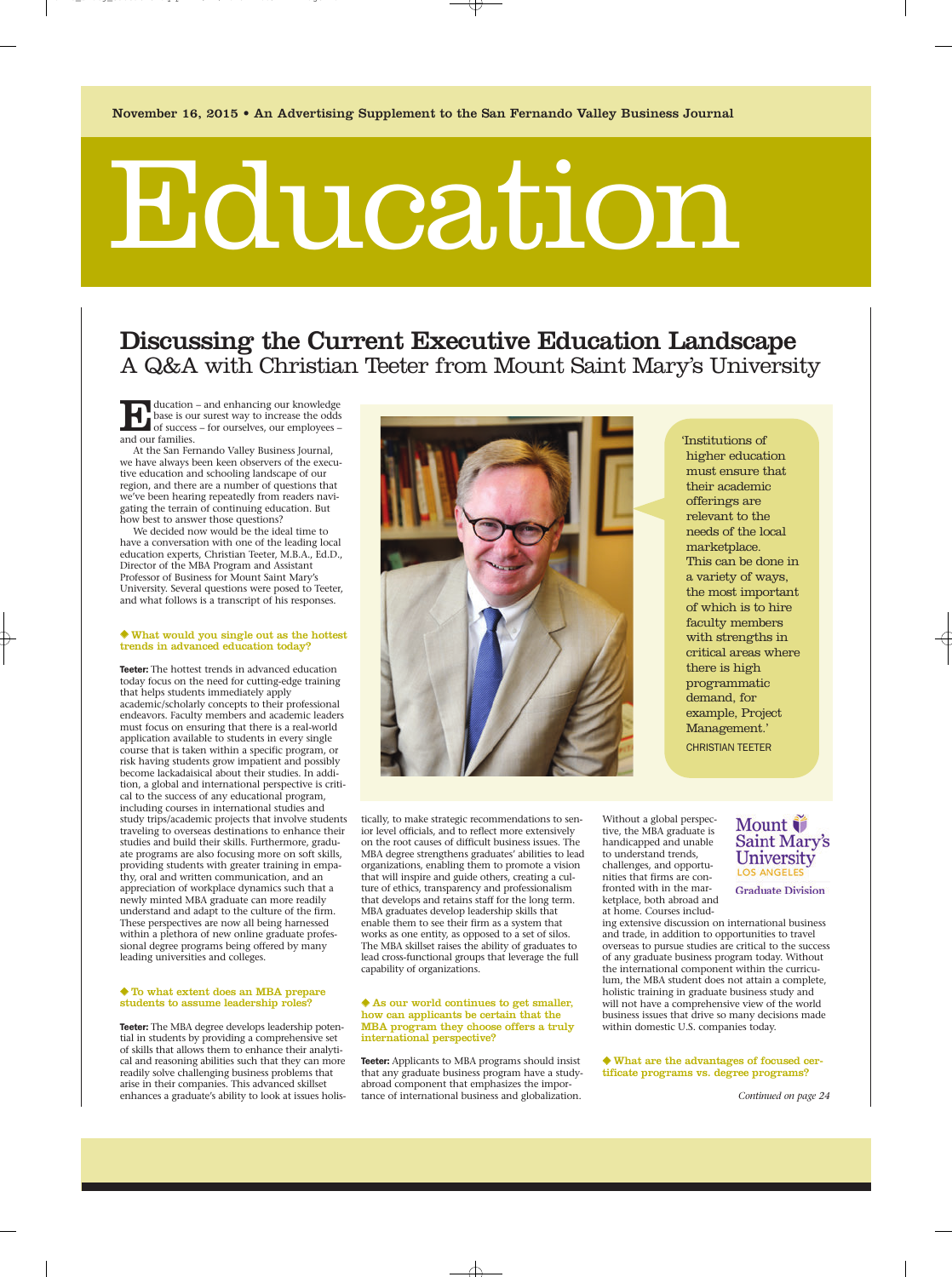# Education

## Discussing the Current Executive Education Landscape A Q&A with Christian Teeter from Mount Saint Mary's University

Education – and enhancing our knowledge base is our surest way to increase the odds of success – for ourselves, our employees – and our families.

At the San Fernando Valley Business Journal, we have always been keen observers of the executive education and schooling landscape of our region, and there are a number of questions that we've been hearing repeatedly from readers navigating the terrain of continuing education. But how best to answer those questions?

We decided now would be the ideal time to have a conversation with one of the leading local education experts, Christian Teeter, M.B.A., Ed.D., Director of the MBA Program and Assistant Professor of Business for Mount Saint Mary's University. Several questions were posed to Teeter, and what follows is a transcript of his responses.

#### ◆ What would you single out as the hottest trends in advanced education today?

Teeter: The hottest trends in advanced education today focus on the need for cutting-edge training that helps students immediately apply academic/scholarly concepts to their professional endeavors. Faculty members and academic leaders must focus on ensuring that there is a real-world application available to students in every single course that is taken within a specific program, or risk having students grow impatient and possibly become lackadaisical about their studies. In addition, a global and international perspective is critical to the success of any educational program, including courses in international studies and study trips/academic projects that involve students traveling to overseas destinations to enhance their studies and build their skills. Furthermore, graduate programs are also focusing more on soft skills, providing students with greater training in empathy, oral and written communication, and an appreciation of workplace dynamics such that a newly minted MBA graduate can more readily understand and adapt to the culture of the firm. These perspectives are now all being harnessed within a plethora of new online graduate professional degree programs being offered by many leading universities and colleges.

#### ◆ To what extent does an MBA prepare students to assume leadership roles?

Teeter: The MBA degree develops leadership potential in students by providing a comprehensive set of skills that allows them to enhance their analytical and reasoning abilities such that they can more readily solve challenging business problems that arise in their companies. This advanced skillset enhances a graduate's ability to look at issues holis-



'Institutions of higher education must ensure that their academic offerings are relevant to the needs of the local marketplace. This can be done in a variety of ways, the most important of which is to hire faculty members with strengths in critical areas where there is high programmatic demand, for example, Project Management.' CHRISTIAN TEETER

tically, to make strategic recommendations to senior level officials, and to reflect more extensively on the root causes of difficult business issues. The MBA degree strengthens graduates' abilities to lead organizations, enabling them to promote a vision that will inspire and guide others, creating a culture of ethics, transparency and professionalism that develops and retains staff for the long term. MBA graduates develop leadership skills that enable them to see their firm as a system that works as one entity, as opposed to a set of silos. The MBA skillset raises the ability of graduates to lead cross-functional groups that leverage the full capability of organizations.

#### ◆ As our world continues to get smaller, how can applicants be certain that the MBA program they choose offers a truly international perspective?

Teeter: Applicants to MBA programs should insist that any graduate business program have a studyabroad component that emphasizes the importance of international business and globalization.

Without a global perspective, the MBA graduate is handicapped and unable to understand trends, challenges, and opportunities that firms are confronted with in the marketplace, both abroad and at home. Courses includ-

ing extensive discussion on international business and trade, in addition to opportunities to travel overseas to pursue studies are critical to the success of any graduate business program today. Without the international component within the curriculum, the MBA student does not attain a complete, holistic training in graduate business study and will not have a comprehensive view of the world business issues that drive so many decisions made within domestic U.S. companies today.

◆ What are the advantages of focused certificate programs vs. degree programs?

*Continued on page 24*

#### Mount *i* **Saint Mary's** University **LOS ANGELES**

**Graduate Division**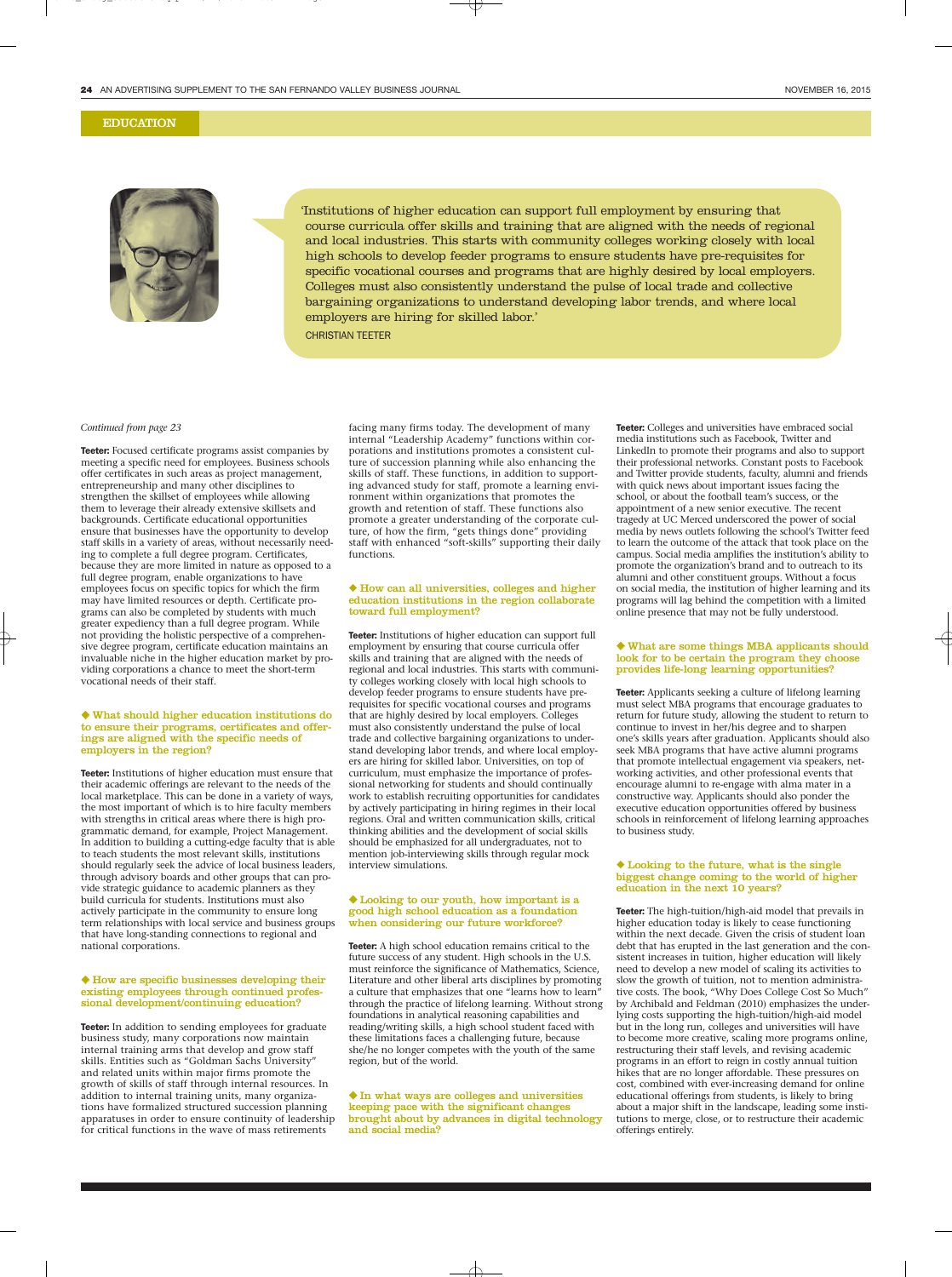#### EDUCATION



'Institutions of higher education can support full employment by ensuring that course curricula offer skills and training that are aligned with the needs of regional and local industries. This starts with community colleges working closely with local high schools to develop feeder programs to ensure students have pre-requisites for specific vocational courses and programs that are highly desired by local employers. Colleges must also consistently understand the pulse of local trade and collective bargaining organizations to understand developing labor trends, and where local employers are hiring for skilled labor.'

CHRISTIAN TEETER

#### *Continued from page 23*

Teeter: Focused certificate programs assist companies by meeting a specific need for employees. Business schools offer certificates in such areas as project management, entrepreneurship and many other disciplines to strengthen the skillset of employees while allowing them to leverage their already extensive skillsets and backgrounds. Certificate educational opportunities ensure that businesses have the opportunity to develop staff skills in a variety of areas, without necessarily needing to complete a full degree program. Certificates, because they are more limited in nature as opposed to a full degree program, enable organizations to have employees focus on specific topics for which the firm may have limited resources or depth. Certificate programs can also be completed by students with much greater expediency than a full degree program. While not providing the holistic perspective of a comprehensive degree program, certificate education maintains an invaluable niche in the higher education market by providing corporations a chance to meet the short-term vocational needs of their staff.

#### ◆ What should higher education institutions do to ensure their programs, certificates and offerings are aligned with the specific needs of employers in the region?

Teeter: Institutions of higher education must ensure that their academic offerings are relevant to the needs of the local marketplace. This can be done in a variety of ways, the most important of which is to hire faculty members with strengths in critical areas where there is high programmatic demand, for example, Project Management. In addition to building a cutting-edge faculty that is able to teach students the most relevant skills, institutions should regularly seek the advice of local business leaders, through advisory boards and other groups that can provide strategic guidance to academic planners as they build curricula for students. Institutions must also actively participate in the community to ensure long term relationships with local service and business groups that have long-standing connections to regional and national corporations.

#### ◆ How are specific businesses developing their existing employees through continued professional development/continuing education?

Teeter: In addition to sending employees for graduate business study, many corporations now maintain internal training arms that develop and grow staff skills. Entities such as "Goldman Sachs University" and related units within major firms promote the growth of skills of staff through internal resources. In addition to internal training units, many organizations have formalized structured succession planning apparatuses in order to ensure continuity of leadership for critical functions in the wave of mass retirements

facing many firms today. The development of many internal "Leadership Academy" functions within corporations and institutions promotes a consistent culture of succession planning while also enhancing the skills of staff. These functions, in addition to supporting advanced study for staff, promote a learning environment within organizations that promotes the growth and retention of staff. These functions also promote a greater understanding of the corporate culture, of how the firm, "gets things done" providing staff with enhanced "soft-skills" supporting their daily functions.

#### ◆ How can all universities, colleges and higher education institutions in the region collaborate toward full employment?

Teeter: Institutions of higher education can support full employment by ensuring that course curricula offer skills and training that are aligned with the needs of regional and local industries. This starts with community colleges working closely with local high schools to develop feeder programs to ensure students have prerequisites for specific vocational courses and programs that are highly desired by local employers. Colleges must also consistently understand the pulse of local trade and collective bargaining organizations to understand developing labor trends, and where local employers are hiring for skilled labor. Universities, on top of curriculum, must emphasize the importance of professional networking for students and should continually work to establish recruiting opportunities for candidates by actively participating in hiring regimes in their local regions. Oral and written communication skills, critical thinking abilities and the development of social skills should be emphasized for all undergraduates, not to mention job-interviewing skills through regular mock interview simulations.

#### ◆ Looking to our youth, how important is a good high school education as a foundation when considering our future workforce?

Teeter: A high school education remains critical to the future success of any student. High schools in the U.S. must reinforce the significance of Mathematics, Science, Literature and other liberal arts disciplines by promoting a culture that emphasizes that one "learns how to learn" through the practice of lifelong learning. Without strong foundations in analytical reasoning capabilities and reading/writing skills, a high school student faced with these limitations faces a challenging future, because she/he no longer competes with the youth of the same region, but of the world.

◆ In what ways are colleges and universities keeping pace with the significant changes brought about by advances in digital technology and social media?

Teeter: Colleges and universities have embraced social media institutions such as Facebook, Twitter and LinkedIn to promote their programs and also to support their professional networks. Constant posts to Facebook and Twitter provide students, faculty, alumni and friends with quick news about important issues facing the school, or about the football team's success, or the appointment of a new senior executive. The recent tragedy at UC Merced underscored the power of social media by news outlets following the school's Twitter feed to learn the outcome of the attack that took place on the campus. Social media amplifies the institution's ability to promote the organization's brand and to outreach to its alumni and other constituent groups. Without a focus on social media, the institution of higher learning and its programs will lag behind the competition with a limited online presence that may not be fully understood.

#### ◆ What are some things MBA applicants should look for to be certain the program they choose provides life-long learning opportunities?

Teeter: Applicants seeking a culture of lifelong learning must select MBA programs that encourage graduates to return for future study, allowing the student to return to continue to invest in her/his degree and to sharpen one's skills years after graduation. Applicants should also seek MBA programs that have active alumni programs that promote intellectual engagement via speakers, networking activities, and other professional events that encourage alumni to re-engage with alma mater in a constructive way. Applicants should also ponder the executive education opportunities offered by business schools in reinforcement of lifelong learning approaches to business study.

#### ◆ Looking to the future, what is the single biggest change coming to the world of higher education in the next 10 years?

Teeter: The high-tuition/high-aid model that prevails in higher education today is likely to cease functioning within the next decade. Given the crisis of student loan debt that has erupted in the last generation and the consistent increases in tuition, higher education will likely need to develop a new model of scaling its activities to slow the growth of tuition, not to mention administrative costs. The book, "Why Does College Cost So Much" by Archibald and Feldman (2010) emphasizes the underlying costs supporting the high-tuition/high-aid model but in the long run, colleges and universities will have to become more creative, scaling more programs online, restructuring their staff levels, and revising academic programs in an effort to reign in costly annual tuition hikes that are no longer affordable. These pressures on cost, combined with ever-increasing demand for online educational offerings from students, is likely to bring about a major shift in the landscape, leading some institutions to merge, close, or to restructure their academic offerings entirely.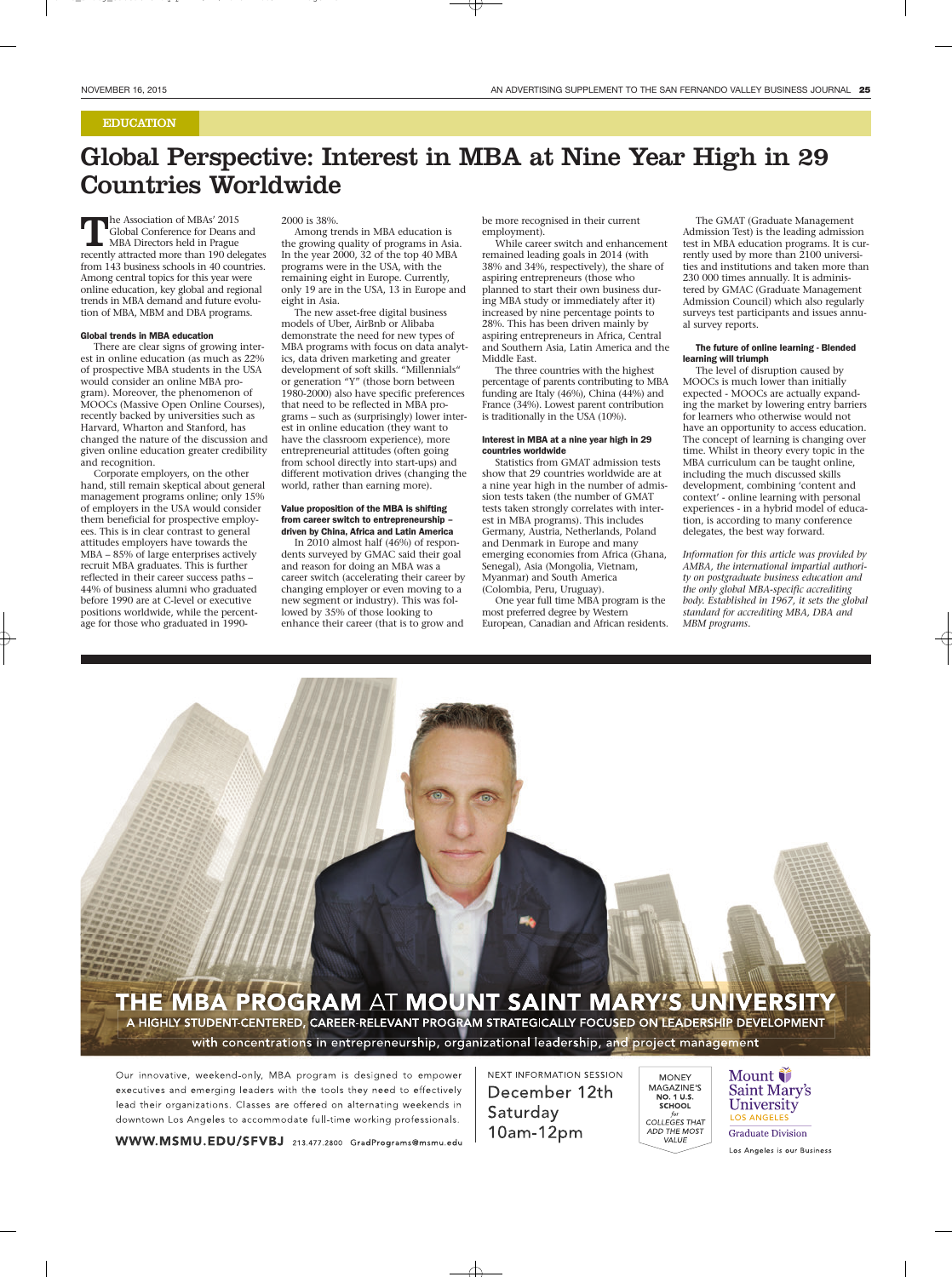#### EDUCATION

# Global Perspective: Interest in MBA at Nine Year High in 29 Countries Worldwide

The Association of MBAs' 2015 Global Conference for Deans and MBA Directors held in Prague recently attracted more than 190 delegates from 143 business schools in 40 countries. Among central topics for this year were online education, key global and regional trends in MBA demand and future evolution of MBA, MBM and DBA programs.

#### Global trends in MBA education

There are clear signs of growing interest in online education (as much as 22% of prospective MBA students in the USA would consider an online MBA program). Moreover, the phenomenon of MOOCs (Massive Open Online Courses), recently backed by universities such as Harvard, Wharton and Stanford, has changed the nature of the discussion and given online education greater credibility and recognition.

Corporate employers, on the other hand, still remain skeptical about general management programs online; only 15% of employers in the USA would consider them beneficial for prospective employees. This is in clear contrast to general attitudes employers have towards the MBA – 85% of large enterprises actively recruit MBA graduates. This is further reflected in their career success paths – 44% of business alumni who graduated before 1990 are at C-level or executive positions worldwide, while the percentage for those who graduated in 19902000 is 38%.

Among trends in MBA education is the growing quality of programs in Asia. In the year 2000, 32 of the top 40 MBA programs were in the USA, with the remaining eight in Europe. Currently, only 19 are in the USA, 13 in Europe and eight in Asia.

The new asset-free digital business models of Uber, AirBnb or Alibaba demonstrate the need for new types of MBA programs with focus on data analytics, data driven marketing and greater development of soft skills. "Millennials" or generation "Y" (those born between 1980-2000) also have specific preferences that need to be reflected in MBA programs – such as (surprisingly) lower interest in online education (they want to have the classroom experience), more entrepreneurial attitudes (often going from school directly into start-ups) and different motivation drives (changing the world, rather than earning more).

#### Value proposition of the MBA is shifting from career switch to entrepreneurship – driven by China, Africa and Latin America

In 2010 almost half (46%) of respondents surveyed by GMAC said their goal and reason for doing an MBA was a career switch (accelerating their career by changing employer or even moving to a new segment or industry). This was followed by 35% of those looking to enhance their career (that is to grow and

be more recognised in their current employment).

While career switch and enhancement remained leading goals in 2014 (with 38% and 34%, respectively), the share of aspiring entrepreneurs (those who planned to start their own business during MBA study or immediately after it) increased by nine percentage points to 28%. This has been driven mainly by aspiring entrepreneurs in Africa, Central and Southern Asia, Latin America and the Middle East.

The three countries with the highest percentage of parents contributing to MBA funding are Italy (46%), China (44%) and France (34%). Lowest parent contribution is traditionally in the USA (10%).

#### Interest in MBA at a nine year high in 29 countries worldwide

Statistics from GMAT admission tests show that 29 countries worldwide are at a nine year high in the number of admission tests taken (the number of GMAT tests taken strongly correlates with interest in MBA programs). This includes Germany, Austria, Netherlands, Poland and Denmark in Europe and many emerging economies from Africa (Ghana, Senegal), Asia (Mongolia, Vietnam, Myanmar) and South America (Colombia, Peru, Uruguay).

One year full time MBA program is the most preferred degree by Western European, Canadian and African residents.

The GMAT (Graduate Management Admission Test) is the leading admission test in MBA education programs. It is currently used by more than 2100 universities and institutions and taken more than 230 000 times annually. It is administered by GMAC (Graduate Management Admission Council) which also regularly surveys test participants and issues annual survey reports.

#### The future of online learning - Blended learning will triumph

The level of disruption caused by MOOCs is much lower than initially expected - MOOCs are actually expanding the market by lowering entry barriers for learners who otherwise would not have an opportunity to access education. The concept of learning is changing over time. Whilst in theory every topic in the MBA curriculum can be taught online, including the much discussed skills development, combining 'content and context' - online learning with personal experiences - in a hybrid model of education, is according to many conference delegates, the best way forward.

*Information for this article was provided by AMBA, the international impartial authority on postgraduate business education and the only global MBA-specific accrediting body. Established in 1967, it sets the global standard for accrediting MBA, DBA and MBM programs.*



Our innovative, weekend-only, MBA program is designed to empower executives and emerging leaders with the tools they need to effectively lead their organizations. Classes are offered on alternating weekends in downtown Los Angeles to accommodate full-time working professionals.

**NEXT INFORMATION SESSION** December 12th Saturday 10am-12pm

**MONEY** MAGAZINE'S NO. 1 U.S. SCHOOL COLLEGES THAT ADD THE MOST VALUE

Mount *i* Saint Mary's University **LOS ANGELES** 

**Graduate Division** 

Los Angeles is our Business

WWW.MSMU.EDU/SFVBJ 213.477.2800 GradPrograms@msmu.edu